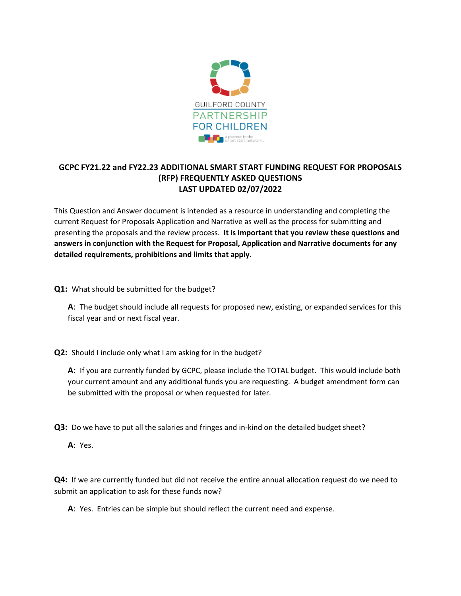

## **GCPC FY21.22 and FY22.23 ADDITIONAL SMART START FUNDING REQUEST FOR PROPOSALS (RFP) FREQUENTLY ASKED QUESTIONS LAST UPDATED 02/07/2022**

This Question and Answer document is intended as a resource in understanding and completing the current Request for Proposals Application and Narrative as well as the process for submitting and presenting the proposals and the review process. **It is important that you review these questions and answers in conjunction with the Request for Proposal, Application and Narrative documents for any detailed requirements, prohibitions and limits that apply.** 

**Q1:** What should be submitted for the budget?

**A**: The budget should include all requests for proposed new, existing, or expanded services for this fiscal year and or next fiscal year.

**Q2:** Should I include only what I am asking for in the budget?

**A**: If you are currently funded by GCPC, please include the TOTAL budget. This would include both your current amount and any additional funds you are requesting. A budget amendment form can be submitted with the proposal or when requested for later.

**Q3:** Do we have to put all the salaries and fringes and in-kind on the detailed budget sheet?

**A**: Yes.

**Q4:** If we are currently funded but did not receive the entire annual allocation request do we need to submit an application to ask for these funds now?

**A**: Yes. Entries can be simple but should reflect the current need and expense.